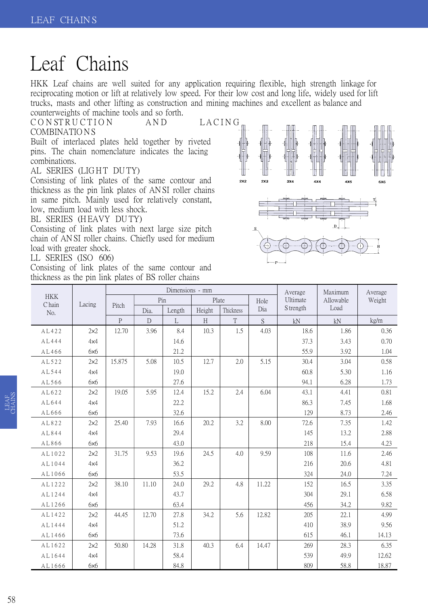## Leaf Chains

HKK Leaf chains are well suited for any application requiring flexible, high strength linkage for reciprocating motion or lift at relatively low speed. For their low cost and long life, widely used for lift trucks, masts and other lifting as construction and mining machines and excellent as balance and counterweights of machine tools and so forth.

CONSTRUCTION AND LACING

## COMBINATIO N S

Built of interlaced plates held together by riveted pins. The chain nomenclature indicates the lacing combinations.

AL SERIES (LIGHT DUTY)

Consisting of link plates of the same contour and thickness as the pin link plates of AN SI roller chains in same pitch. Mainly used for relatively constant, low, medium load with less shock.

BL SERIES (HEAVY DUTY)

Consisting of link plates with next large size pitch chain of AN SI roller chains. Chiefly used for medium load with greater shock.

LL SERIES (ISO 606)

Consisting of link plates of the same contour and thickness as the pin link plates of BS roller chains



|                             | Lacing |                |       | Dimensions - mm |        | Average<br>Ultimate | Maximum<br>Allowable | Average<br>Weight |      |       |
|-----------------------------|--------|----------------|-------|-----------------|--------|---------------------|----------------------|-------------------|------|-------|
| <b>HKK</b><br>C hain<br>No. |        | Pitch          | Pin   |                 | Plate  |                     |                      |                   | Hole |       |
|                             |        |                | Dia.  | Length          | Height | Thickness           | Dia                  | S trength         | Load |       |
|                             |        | $\overline{P}$ | D     | $\Gamma$        | H      | T                   | $\mathbf S$          | kN                | kN   | kg/m  |
| AL422                       | 2x2    | 12.70          | 3.96  | 8.4             | 10.3   | 1.5                 | 4.03                 | 18.6              | 1.86 | 0.36  |
| AL444                       | 4x4    |                |       | 14.6            |        |                     |                      | 37.3              | 3.43 | 0.70  |
| AL466                       | 6x6    |                |       | 21.2            |        |                     |                      | 55.9              | 3.92 | 1.04  |
| AL522                       | 2x2    | 15.875         | 5.08  | 10.5            | 12.7   | 2.0                 | 5.15                 | 30.4              | 3.04 | 0.58  |
| AL544                       | 4x4    |                |       | 19.0            |        |                     |                      | 60.8              | 5.30 | 1.16  |
| AL566                       | 6x6    |                |       | 27.6            |        |                     |                      | 94.1              | 6.28 | 1.73  |
| AL622                       | 2x2    | 19.05          | 5.95  | 12.4            | 15.2   | 2.4                 | 6.04                 | 43.1              | 4.41 | 0.81  |
| AL644                       | 4x4    |                |       | 22.2            |        |                     |                      | 86.3              | 7.45 | 1.68  |
| AL666                       | 6x6    |                |       | 32.6            |        |                     |                      | 129               | 8.73 | 2.46  |
| AL822                       | 2x2    | 25.40          | 7.93  | 16.6            | 20.2   | 3.2                 | 8.00                 | 72.6              | 7.35 | 1.42  |
| AL844                       | 4x4    |                |       | 29.4            |        |                     |                      | 145               | 13.2 | 2.88  |
| AL866                       | 6x6    |                |       | 43.0            |        |                     |                      | 218               | 15.4 | 4.23  |
| AL1022                      | 2x2    | 31.75          | 9.53  | 19.6            | 24.5   | 4.0                 | 9.59                 | 108               | 11.6 | 2.46  |
| AL1044                      | 4x4    |                |       | 36.2            |        |                     |                      | 216               | 20.6 | 4.81  |
| AL1066                      | 6x6    |                |       | 53.5            |        |                     |                      | 324               | 24.0 | 7.24  |
| AL1222                      | 2x2    | 38.10          | 11.10 | 24.0            | 29.2   | 4.8                 | 11.22                | 152               | 16.5 | 3.35  |
| AL1244                      | 4x4    |                |       | 43.7            |        |                     |                      | 304               | 29.1 | 6.58  |
| AL1266                      | 6x6    |                |       | 63.4            |        |                     |                      | 456               | 34.2 | 9.82  |
| AL1422                      | 2x2    | 44.45          | 12.70 | 27.8            | 34.2   | 5.6                 | 12.82                | 205               | 22.1 | 4.99  |
| AL1444                      | 4x4    |                |       | 51.2            |        |                     |                      | 410               | 38.9 | 9.56  |
| AL1466                      | 6x6    |                |       | 73.6            |        |                     |                      | 615               | 46.1 | 14.13 |
| AL1622                      | 2x2    | 50.80          | 14.28 | 31.8            | 40.3   | 6.4                 | 14.47                | 269               | 28.3 | 6.35  |
| AL1644                      | 4x4    |                |       | 58.4            |        |                     |                      | 539               | 49.9 | 12.62 |
| AL1666                      | 6x6    |                |       | 84.8            |        |                     |                      | 809               | 58.8 | 18.87 |